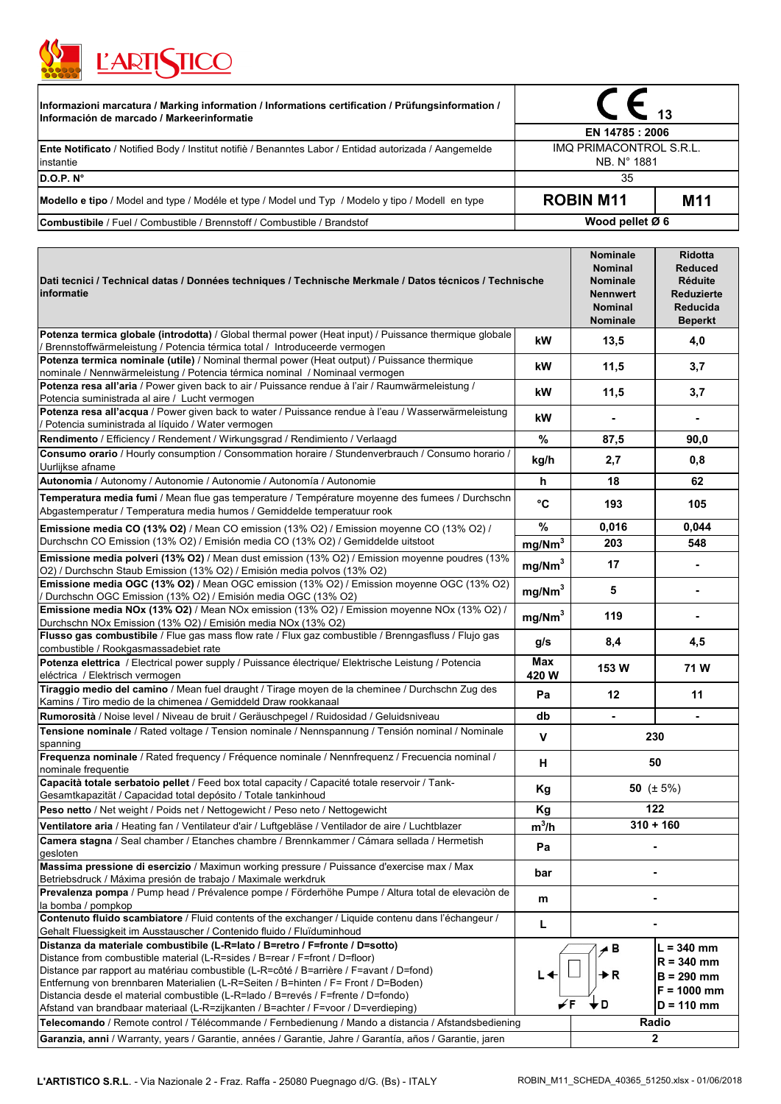

| [Informazioni marcatura / Marking information / Informations certification / Prüfungsinformation /<br>Información de marcado / Markeerinformatie | EN 14785 : 2006                        |                 |  |
|--------------------------------------------------------------------------------------------------------------------------------------------------|----------------------------------------|-----------------|--|
|                                                                                                                                                  |                                        |                 |  |
| <b>Ente Notificato</b> / Notified Body / Institut notifie / Benanntes Labor / Entidad autorizada / Aangemelde<br>instantie                       | IMQ PRIMACONTROL S.R.L.<br>NB. N° 1881 |                 |  |
| D.O.P. N <sup>o</sup>                                                                                                                            | 35                                     |                 |  |
| Modello e tipo / Model and type / Modéle et type / Model und Typ / Modelo y tipo / Modell en type                                                | <b>ROBIN M11</b>                       | M <sub>11</sub> |  |
| <b>Combustibile</b> / Fuel / Combustible / Brennstoff / Combustible / Brandstof                                                                  | Wood pellet Ø 6                        |                 |  |

| Dati tecnici / Technical datas / Données techniques / Technische Merkmale / Datos técnicos / Technische<br>informatie                                                                                                                                                                                                                                                                                                                                                                                                  |                    | <b>Nominale</b><br><b>Nominal</b><br>Nominale<br><b>Nennwert</b><br><b>Nominal</b><br>Nominale | <b>Ridotta</b><br><b>Reduced</b><br><b>Réduite</b><br>Reduzierte<br>Reducida<br><b>Beperkt</b> |
|------------------------------------------------------------------------------------------------------------------------------------------------------------------------------------------------------------------------------------------------------------------------------------------------------------------------------------------------------------------------------------------------------------------------------------------------------------------------------------------------------------------------|--------------------|------------------------------------------------------------------------------------------------|------------------------------------------------------------------------------------------------|
| Potenza termica globale (introdotta) / Global thermal power (Heat input) / Puissance thermique globale<br>Brennstoffwärmeleistung / Potencia térmica total / Introduceerde vermogen                                                                                                                                                                                                                                                                                                                                    | kW                 | 13,5                                                                                           | 4,0                                                                                            |
| Potenza termica nominale (utile) / Nominal thermal power (Heat output) / Puissance thermique<br>nominale / Nennwärmeleistung / Potencia térmica nominal / Nominaal vermogen                                                                                                                                                                                                                                                                                                                                            | kW                 | 11,5                                                                                           | 3,7                                                                                            |
| Potenza resa all'aria / Power given back to air / Puissance rendue à l'air / Raumwärmeleistung /<br>Potencia suministrada al aire / Lucht vermogen                                                                                                                                                                                                                                                                                                                                                                     | kW                 | 11,5                                                                                           | 3,7                                                                                            |
| Potenza resa all'acqua / Power given back to water / Puissance rendue à l'eau / Wasserwärmeleistung<br>Potencia suministrada al líquido / Water vermogen                                                                                                                                                                                                                                                                                                                                                               | kW                 |                                                                                                |                                                                                                |
| Rendimento / Efficiency / Rendement / Wirkungsgrad / Rendimiento / Verlaagd                                                                                                                                                                                                                                                                                                                                                                                                                                            | %                  | 87,5                                                                                           | 90,0                                                                                           |
| Consumo orario / Hourly consumption / Consommation horaire / Stundenverbrauch / Consumo horario /<br>Uurlijkse afname                                                                                                                                                                                                                                                                                                                                                                                                  | kg/h               | 2,7                                                                                            | 0,8                                                                                            |
| Autonomia / Autonomy / Autonomie / Autonomie / Autonomía / Autonomie                                                                                                                                                                                                                                                                                                                                                                                                                                                   | h                  | 18                                                                                             | 62                                                                                             |
| Temperatura media fumi / Mean flue gas temperature / Température moyenne des fumees / Durchschn<br>Abgastemperatur / Temperatura media humos / Gemiddelde temperatuur rook                                                                                                                                                                                                                                                                                                                                             | °C                 | 193                                                                                            | 105                                                                                            |
| Emissione media CO (13% O2) / Mean CO emission (13% O2) / Emission moyenne CO (13% O2) /                                                                                                                                                                                                                                                                                                                                                                                                                               | $\%$               | 0,016                                                                                          | 0,044                                                                                          |
| Durchschn CO Emission (13% O2) / Emisión media CO (13% O2) / Gemiddelde uitstoot                                                                                                                                                                                                                                                                                                                                                                                                                                       | mg/Nm <sup>3</sup> | 203                                                                                            | 548                                                                                            |
| Emissione media polveri (13% O2) / Mean dust emission (13% O2) / Emission moyenne poudres (13%<br>O2) / Durchschn Staub Emission (13% O2) / Emisión media polvos (13% O2)                                                                                                                                                                                                                                                                                                                                              | mg/Nm <sup>3</sup> | 17                                                                                             | $\blacksquare$                                                                                 |
| Emissione media OGC (13% O2) / Mean OGC emission (13% O2) / Emission moyenne OGC (13% O2)<br>Durchschn OGC Emission (13% O2) / Emisión media OGC (13% O2)                                                                                                                                                                                                                                                                                                                                                              | mg/Nm <sup>3</sup> | 5                                                                                              |                                                                                                |
| Emissione media NOx (13% O2) / Mean NOx emission (13% O2) / Emission moyenne NOx (13% O2) /<br>Durchschn NOx Emission (13% O2) / Emisión media NOx (13% O2)                                                                                                                                                                                                                                                                                                                                                            | mg/Nm <sup>3</sup> | 119                                                                                            |                                                                                                |
| Flusso gas combustibile / Flue gas mass flow rate / Flux gaz combustible / Brenngasfluss / Flujo gas<br>combustible / Rookgasmassadebiet rate                                                                                                                                                                                                                                                                                                                                                                          | g/s                | 8,4                                                                                            | 4,5                                                                                            |
| Potenza elettrica / Electrical power supply / Puissance électrique/ Elektrische Leistung / Potencia<br>eléctrica / Elektrisch vermogen                                                                                                                                                                                                                                                                                                                                                                                 | Max<br>420 W       | 153W                                                                                           | 71W                                                                                            |
| Tiraggio medio del camino / Mean fuel draught / Tirage moyen de la cheminee / Durchschn Zug des<br>Kamins / Tiro medio de la chimenea / Gemiddeld Draw rookkanaal                                                                                                                                                                                                                                                                                                                                                      | Pa                 | $12 \,$                                                                                        | 11                                                                                             |
| Rumorosità / Noise level / Niveau de bruit / Geräuschpegel / Ruidosidad / Geluidsniveau                                                                                                                                                                                                                                                                                                                                                                                                                                | db                 |                                                                                                |                                                                                                |
| Tensione nominale / Rated voltage / Tension nominale / Nennspannung / Tensión nominal / Nominale<br>spanning                                                                                                                                                                                                                                                                                                                                                                                                           | v                  | 230                                                                                            |                                                                                                |
| Frequenza nominale / Rated frequency / Fréquence nominale / Nennfrequenz / Frecuencia nominal /<br>nominale frequentie                                                                                                                                                                                                                                                                                                                                                                                                 | H                  | 50                                                                                             |                                                                                                |
| Capacità totale serbatoio pellet / Feed box total capacity / Capacité totale reservoir / Tank-<br>Gesamtkapazität / Capacidad total depósito / Totale tankinhoud                                                                                                                                                                                                                                                                                                                                                       | Kg                 | 50 $(\pm 5\%)$                                                                                 |                                                                                                |
| Peso netto / Net weight / Poids net / Nettogewicht / Peso neto / Nettogewicht                                                                                                                                                                                                                                                                                                                                                                                                                                          | Kg                 | 122                                                                                            |                                                                                                |
| Ventilatore aria / Heating fan / Ventilateur d'air / Luftgebläse / Ventilador de aire / Luchtblazer                                                                                                                                                                                                                                                                                                                                                                                                                    | $m^3/h$            | $310 + 160$                                                                                    |                                                                                                |
| Camera stagna / Seal chamber / Etanches chambre / Brennkammer / Cámara sellada / Hermetish<br>gesloten                                                                                                                                                                                                                                                                                                                                                                                                                 | Pa                 |                                                                                                |                                                                                                |
| Massima pressione di esercizio / Maximun working pressure / Puissance d'exercise max / Max<br>Betriebsdruck / Máxima presión de trabajo / Maximale werkdruk                                                                                                                                                                                                                                                                                                                                                            | bar                |                                                                                                |                                                                                                |
| Prevalenza pompa / Pump head / Prévalence pompe / Förderhöhe Pumpe / Altura total de elevación de<br>la bomba / pompkop                                                                                                                                                                                                                                                                                                                                                                                                | m                  |                                                                                                |                                                                                                |
| Contenuto fluido scambiatore / Fluid contents of the exchanger / Liquide contenu dans l'échangeur /<br>Gehalt Fluessigkeit im Ausstauscher / Contenido fluido / Fluïduminhoud                                                                                                                                                                                                                                                                                                                                          | L                  |                                                                                                |                                                                                                |
| Distanza da materiale combustibile (L-R=lato / B=retro / F=fronte / D=sotto)<br>Distance from combustible material (L-R=sides / B=rear / F=front / D=floor)<br>Distance par rapport au matériau combustible (L-R=côté / B=arrière / F=avant / D=fond)<br>Entfernung von brennbaren Materialien (L-R=Seiten / B=hinten / F= Front / D=Boden)<br>Distancia desde el material combustible (L-R=lado / B=revés / F=frente / D=fondo)<br>Afstand van brandbaar materiaal (L-R=zijkanten / B=achter / F=voor / D=verdieping) | L.                 | ⊿ B<br>►R<br>, D                                                                               | $L = 340$ mm<br>$R = 340$ mm<br>$B = 290$ mm<br>$F = 1000$ mm<br>$D = 110$ mm                  |
| Telecomando / Remote control / Télécommande / Fernbedienung / Mando a distancia / Afstandsbediening                                                                                                                                                                                                                                                                                                                                                                                                                    |                    |                                                                                                | Radio<br>$\mathbf{2}$                                                                          |
| Garanzia, anni / Warranty, years / Garantie, années / Garantie, Jahre / Garantía, años / Garantie, jaren                                                                                                                                                                                                                                                                                                                                                                                                               |                    |                                                                                                |                                                                                                |

٦